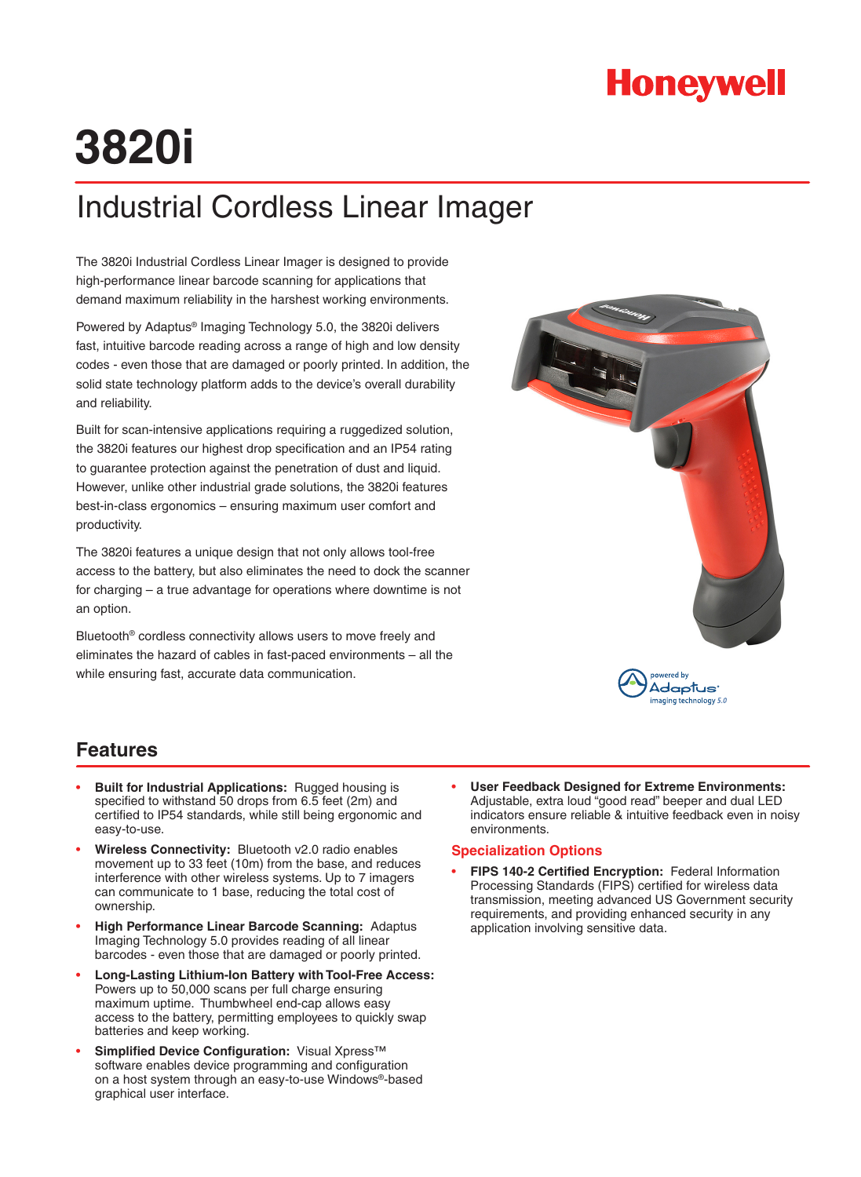## **Honeywell**

# **3820i**

## Industrial Cordless Linear Imager

The 3820i Industrial Cordless Linear Imager is designed to provide high-performance linear barcode scanning for applications that demand maximum reliability in the harshest working environments.

Powered by Adaptus® Imaging Technology 5.0, the 3820i delivers fast, intuitive barcode reading across a range of high and low density codes - even those that are damaged or poorly printed. In addition, the solid state technology platform adds to the device's overall durability and reliability.

Built for scan-intensive applications requiring a ruggedized solution, the 3820i features our highest drop specification and an IP54 rating to guarantee protection against the penetration of dust and liquid. However, unlike other industrial grade solutions, the 3820i features best-in-class ergonomics – ensuring maximum user comfort and productivity.

The 3820i features a unique design that not only allows tool-free access to the battery, but also eliminates the need to dock the scanner for charging – a true advantage for operations where downtime is not an option.

Bluetooth® cordless connectivity allows users to move freely and eliminates the hazard of cables in fast-paced environments – all the while ensuring fast, accurate data communication.



#### **Features**

- **Built for Industrial Applications:** Rugged housing is specified to withstand 50 drops from 6.5 feet (2m) and certified to IP54 standards, while still being ergonomic and easy-to-use.
- **Wireless Connectivity:** Bluetooth v2.0 radio enables movement up to 33 feet (10m) from the base, and reduces interference with other wireless systems. Up to 7 imagers can communicate to 1 base, reducing the total cost of ownership.
- **High Performance Linear Barcode Scanning:** Adaptus Imaging Technology 5.0 provides reading of all linear barcodes - even those that are damaged or poorly printed.
- **Long-Lasting Lithium-Ion Battery with Tool-Free Access:** Powers up to 50,000 scans per full charge ensuring maximum uptime. Thumbwheel end-cap allows easy access to the battery, permitting employees to quickly swap batteries and keep working.
- **Simplified Device Configuration:** Visual Xpress™ software enables device programming and configuration on a host system through an easy-to-use Windows®-based graphical user interface.

• **User Feedback Designed for Extreme Environments:**  Adjustable, extra loud "good read" beeper and dual LED indicators ensure reliable & intuitive feedback even in noisy environments.

#### **Specialization Options**

• **FIPS 140-2 Certified Encryption:** Federal Information Processing Standards (FIPS) certified for wireless data transmission, meeting advanced US Government security requirements, and providing enhanced security in any application involving sensitive data.